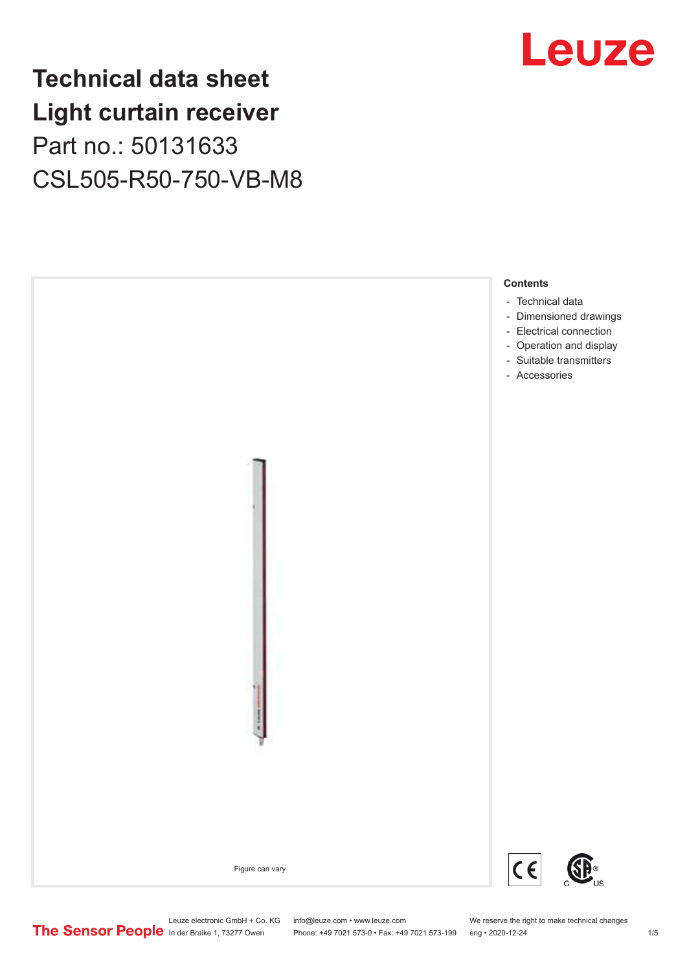## **Technical data sheet Light curtain receiver** Part no.: 50131633 CSL505-R50-750-VB-M8





Leuze electronic GmbH + Co. KG info@leuze.com • www.leuze.com We reserve the right to make technical changes<br>
The Sensor People in der Braike 1, 73277 Owen Phone: +49 7021 573-0 • Fax: +49 7021 573-199 eng • 2020-12-24

Phone: +49 7021 573-0 • Fax: +49 7021 573-199 eng • 2020-12-24 1 2020-12-24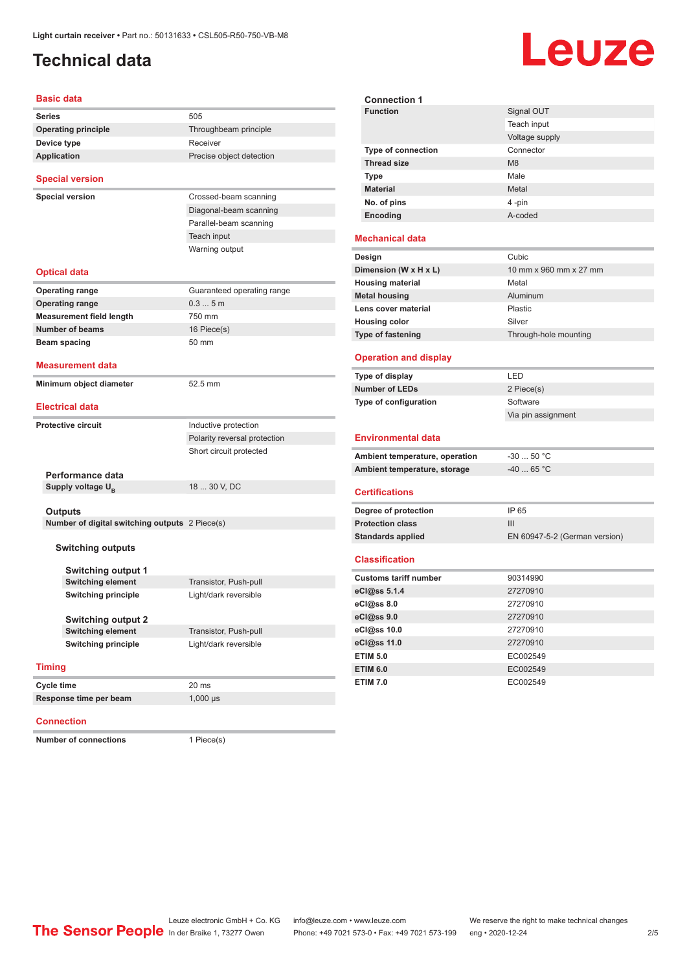### <span id="page-1-0"></span>**Technical data**

# Leuze

**Signal OUT** 

| <b>Basic data</b>                                         |                              |  |  |
|-----------------------------------------------------------|------------------------------|--|--|
| <b>Series</b>                                             | 505                          |  |  |
| <b>Operating principle</b>                                | Throughbeam principle        |  |  |
| Device type                                               | Receiver                     |  |  |
| <b>Application</b>                                        | Precise object detection     |  |  |
| <b>Special version</b>                                    |                              |  |  |
| <b>Special version</b>                                    | Crossed-beam scanning        |  |  |
|                                                           | Diagonal-beam scanning       |  |  |
|                                                           | Parallel-beam scanning       |  |  |
|                                                           | Teach input                  |  |  |
|                                                           | Warning output               |  |  |
| <b>Optical data</b>                                       |                              |  |  |
| <b>Operating range</b>                                    | Guaranteed operating range   |  |  |
| <b>Operating range</b>                                    | 0.35m                        |  |  |
| <b>Measurement field length</b>                           | 750 mm                       |  |  |
| <b>Number of beams</b>                                    | 16 Piece(s)                  |  |  |
| Beam spacing                                              | 50 mm                        |  |  |
| <b>Measurement data</b>                                   |                              |  |  |
| Minimum object diameter                                   | 52.5 mm                      |  |  |
| <b>Electrical data</b>                                    |                              |  |  |
| <b>Protective circuit</b>                                 | Inductive protection         |  |  |
|                                                           | Polarity reversal protection |  |  |
|                                                           | Short circuit protected      |  |  |
|                                                           |                              |  |  |
| Performance data                                          |                              |  |  |
| Supply voltage U <sub>B</sub>                             | 18  30 V, DC                 |  |  |
|                                                           |                              |  |  |
| Outputs<br>Number of digital switching outputs 2 Piece(s) |                              |  |  |
|                                                           |                              |  |  |
| <b>Switching outputs</b>                                  |                              |  |  |
|                                                           |                              |  |  |
| <b>Switching output 1</b>                                 |                              |  |  |
| <b>Switching element</b>                                  | Transistor, Push-pull        |  |  |
| <b>Switching principle</b>                                | Light/dark reversible        |  |  |
| <b>Switching output 2</b>                                 |                              |  |  |
| <b>Switching element</b>                                  | Transistor, Push-pull        |  |  |
| <b>Switching principle</b>                                | Light/dark reversible        |  |  |
|                                                           |                              |  |  |
| <b>Timing</b>                                             |                              |  |  |
| Cycle time                                                | 20 ms                        |  |  |
| Response time per beam                                    | $1,000$ $\mu s$              |  |  |
|                                                           |                              |  |  |

#### **Connection**

**Number of connections** 1 Piece(s)

|                                                                      | Teach input                   |
|----------------------------------------------------------------------|-------------------------------|
|                                                                      | Voltage supply                |
| Type of connection                                                   | Connector                     |
| <b>Thread size</b>                                                   | M <sub>8</sub>                |
| <b>Type</b>                                                          | Male                          |
| <b>Material</b>                                                      | Metal                         |
| No. of pins                                                          | 4-pin                         |
| Encoding                                                             | A-coded                       |
| <b>Mechanical data</b>                                               |                               |
| Design                                                               | Cubic                         |
| Dimension (W x H x L)                                                | 10 mm x 960 mm x 27 mm        |
| <b>Housing material</b>                                              | Metal                         |
| <b>Metal housing</b>                                                 | Aluminum                      |
| Lens cover material                                                  | Plastic                       |
| <b>Housing color</b>                                                 | Silver                        |
| Type of fastening                                                    | Through-hole mounting         |
|                                                                      |                               |
| <b>Operation and display</b>                                         |                               |
| Type of display                                                      | LED                           |
| <b>Number of LEDs</b>                                                | 2 Piece(s)                    |
| Type of configuration                                                | Software                      |
|                                                                      | Via pin assignment            |
| <b>Environmental data</b>                                            |                               |
| Ambient temperature, operation                                       | $-30$ 50 °C                   |
| Ambient temperature, storage                                         | $-40$ 65 °C                   |
|                                                                      |                               |
| <b>Certifications</b>                                                |                               |
| Degree of protection                                                 | IP 65                         |
| <b>Protection class</b>                                              | III                           |
| <b>Standards applied</b>                                             | EN 60947-5-2 (German version) |
| <b>Classification</b>                                                |                               |
| <b>Customs tariff number</b>                                         | 90314990                      |
| eCl@ss 5.1.4                                                         | 27270910                      |
| eCl@ss 8.0                                                           | 27270910                      |
| eCl@ss 9.0                                                           | 27270910                      |
| eCl@ss 10.0                                                          | 27270910                      |
|                                                                      |                               |
|                                                                      | 27270910                      |
|                                                                      | EC002549                      |
|                                                                      | EC002549                      |
| eCl@ss 11.0<br><b>ETIM 5.0</b><br><b>ETIM 6.0</b><br><b>ETIM 7.0</b> | EC002549                      |

**Connection 1**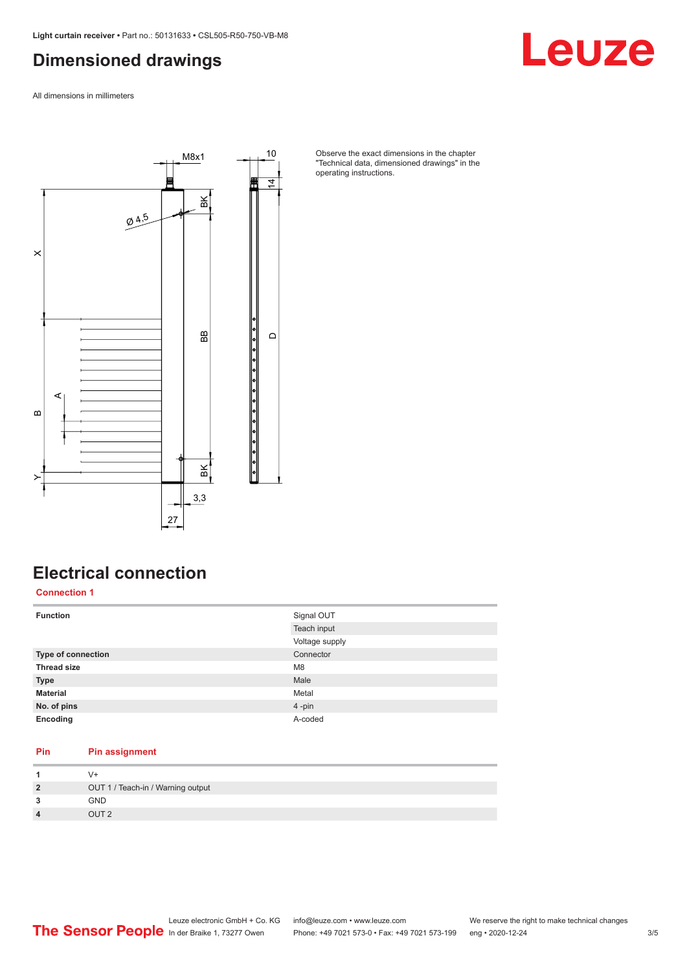#### <span id="page-2-0"></span>**Dimensioned drawings**

Leuze

All dimensions in millimeters



Observe the exact dimensions in the chapter "Technical data, dimensioned drawings" in the operating instructions.

### **Electrical connection**

**Connection 1**

| <b>Function</b>           | Signal OUT     |
|---------------------------|----------------|
|                           | Teach input    |
|                           | Voltage supply |
| <b>Type of connection</b> | Connector      |
| <b>Thread size</b>        | M <sub>8</sub> |
| <b>Type</b>               | Male           |
| <b>Material</b>           | Metal          |
| No. of pins               | 4-pin          |
| Encoding                  | A-coded        |

#### **Pin Pin assignment**

| $\overline{2}$          | OUT 1 / Teach-in / Warning output |
|-------------------------|-----------------------------------|
| 3                       | GND                               |
| $\overline{\mathbf{4}}$ | OUT <sub>2</sub>                  |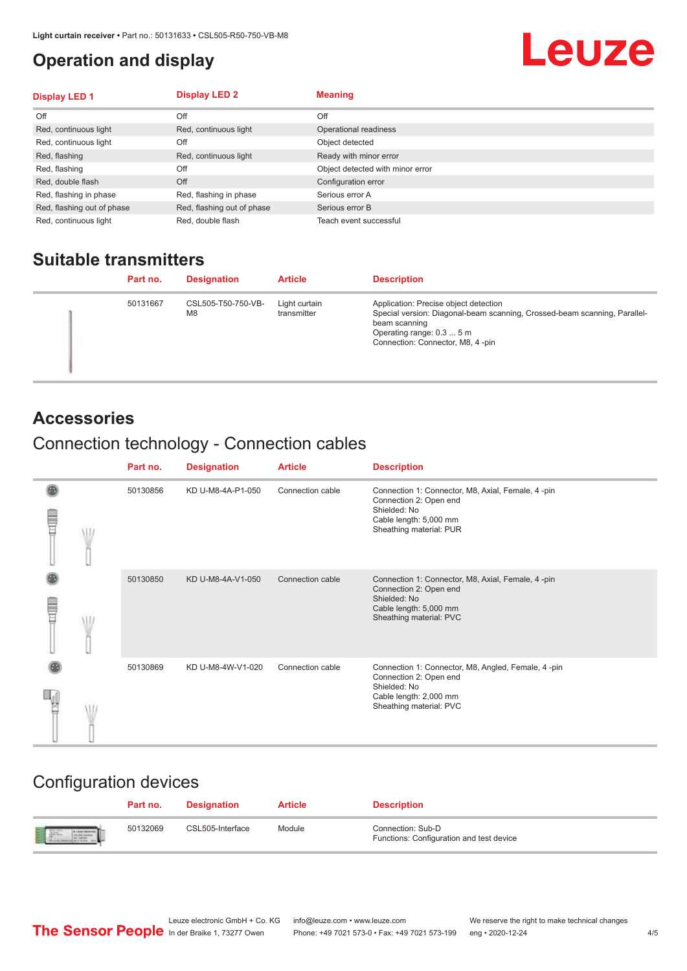#### <span id="page-3-0"></span>**Operation and display**

## Leuze

| <b>Display LED 1</b>       | <b>Display LED 2</b>       | <b>Meaning</b>                   |
|----------------------------|----------------------------|----------------------------------|
| Off                        | Off                        | Off                              |
| Red, continuous light      | Red, continuous light      | Operational readiness            |
| Red, continuous light      | Off                        | Object detected                  |
| Red, flashing              | Red, continuous light      | Ready with minor error           |
| Red, flashing              | Off                        | Object detected with minor error |
| Red, double flash          | Off                        | Configuration error              |
| Red, flashing in phase     | Red, flashing in phase     | Serious error A                  |
| Red, flashing out of phase | Red, flashing out of phase | Serious error B                  |
| Red, continuous light      | Red, double flash          | Teach event successful           |

#### **Suitable transmitters**

| Part no. | <b>Designation</b>       | <b>Article</b>               | <b>Description</b>                                                                                                                                                                                   |
|----------|--------------------------|------------------------------|------------------------------------------------------------------------------------------------------------------------------------------------------------------------------------------------------|
| 50131667 | CSL505-T50-750-VB-<br>M8 | Light curtain<br>transmitter | Application: Precise object detection<br>Special version: Diagonal-beam scanning, Crossed-beam scanning, Parallel-<br>beam scanning<br>Operating range: 0.3  5 m<br>Connection: Connector, M8, 4-pin |

#### **Accessories**

### Connection technology - Connection cables

|   | Part no. | <b>Designation</b> | <b>Article</b>   | <b>Description</b>                                                                                                                                |
|---|----------|--------------------|------------------|---------------------------------------------------------------------------------------------------------------------------------------------------|
| ŧ | 50130856 | KD U-M8-4A-P1-050  | Connection cable | Connection 1: Connector, M8, Axial, Female, 4-pin<br>Connection 2: Open end<br>Shielded: No<br>Cable length: 5,000 mm<br>Sheathing material: PUR  |
| Ī | 50130850 | KD U-M8-4A-V1-050  | Connection cable | Connection 1: Connector, M8, Axial, Female, 4 -pin<br>Connection 2: Open end<br>Shielded: No<br>Cable length: 5,000 mm<br>Sheathing material: PVC |
|   | 50130869 | KD U-M8-4W-V1-020  | Connection cable | Connection 1: Connector, M8, Angled, Female, 4-pin<br>Connection 2: Open end<br>Shielded: No<br>Cable length: 2,000 mm<br>Sheathing material: PVC |

#### Configuration devices

|                          | Part no. | <b>Designation</b> | <b>Article</b> | <b>Description</b>                                            |
|--------------------------|----------|--------------------|----------------|---------------------------------------------------------------|
| <b>Expertise Service</b> | 50132069 | CSL505-Interface   | Module         | Connection: Sub-D<br>Functions: Configuration and test device |